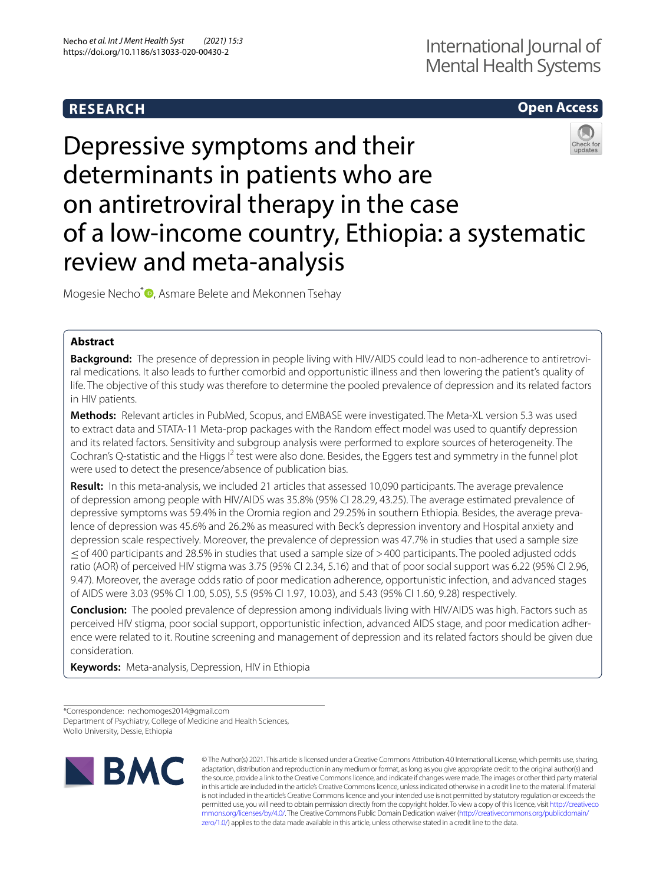# **RESEARCH**

## **Open Access**

# Depressive symptoms and their determinants in patients who are on antiretroviral therapy in the case of a low-income country, Ethiopia: a systematic review and meta-analysis

Mogesie Necho<sup>[\\*](http://orcid.org/0000-0003-0961-7835)</sup><sup>1</sup>, Asmare Belete and Mekonnen Tsehay

## **Abstract**

**Background:** The presence of depression in people living with HIV/AIDS could lead to non-adherence to antiretroviral medications. It also leads to further comorbid and opportunistic illness and then lowering the patient's quality of life. The objective of this study was therefore to determine the pooled prevalence of depression and its related factors in HIV patients.

**Methods:** Relevant articles in PubMed, Scopus, and EMBASE were investigated. The Meta-XL version 5.3 was used to extract data and STATA-11 Meta-prop packages with the Random efect model was used to quantify depression and its related factors. Sensitivity and subgroup analysis were performed to explore sources of heterogeneity. The Cochran's Q-statistic and the Higgs I<sup>2</sup> test were also done. Besides, the Eggers test and symmetry in the funnel plot were used to detect the presence/absence of publication bias.

**Result:** In this meta-analysis, we included 21 articles that assessed 10,090 participants. The average prevalence of depression among people with HIV/AIDS was 35.8% (95% CI 28.29, 43.25). The average estimated prevalence of depressive symptoms was 59.4% in the Oromia region and 29.25% in southern Ethiopia. Besides, the average prevalence of depression was 45.6% and 26.2% as measured with Beck's depression inventory and Hospital anxiety and depression scale respectively. Moreover, the prevalence of depression was 47.7% in studies that used a sample size ≤of 400 participants and 28.5% in studies that used a sample size of >400 participants. The pooled adjusted odds ratio (AOR) of perceived HIV stigma was 3.75 (95% CI 2.34, 5.16) and that of poor social support was 6.22 (95% CI 2.96, 9.47). Moreover, the average odds ratio of poor medication adherence, opportunistic infection, and advanced stages of AIDS were 3.03 (95% CI 1.00, 5.05), 5.5 (95% CI 1.97, 10.03), and 5.43 (95% CI 1.60, 9.28) respectively.

**Conclusion:** The pooled prevalence of depression among individuals living with HIV/AIDS was high. Factors such as perceived HIV stigma, poor social support, opportunistic infection, advanced AIDS stage, and poor medication adherence were related to it. Routine screening and management of depression and its related factors should be given due consideration.

**Keywords:** Meta-analysis, Depression, HIV in Ethiopia

\*Correspondence: nechomoges2014@gmail.com Department of Psychiatry, College of Medicine and Health Sciences, Wollo University, Dessie, Ethiopia



© The Author(s) 2021. This article is licensed under a Creative Commons Attribution 4.0 International License, which permits use, sharing, adaptation, distribution and reproduction in any medium or format, as long as you give appropriate credit to the original author(s) and the source, provide a link to the Creative Commons licence, and indicate if changes were made. The images or other third party material in this article are included in the article's Creative Commons licence, unless indicated otherwise in a credit line to the material. If material is not included in the article's Creative Commons licence and your intended use is not permitted by statutory regulation or exceeds the permitted use, you will need to obtain permission directly from the copyright holder. To view a copy of this licence, visit [http://creativeco](http://creativecommons.org/licenses/by/4.0/) [mmons.org/licenses/by/4.0/.](http://creativecommons.org/licenses/by/4.0/) The Creative Commons Public Domain Dedication waiver ([http://creativecommons.org/publicdomain/](http://creativecommons.org/publicdomain/zero/1.0/) [zero/1.0/\)](http://creativecommons.org/publicdomain/zero/1.0/) applies to the data made available in this article, unless otherwise stated in a credit line to the data.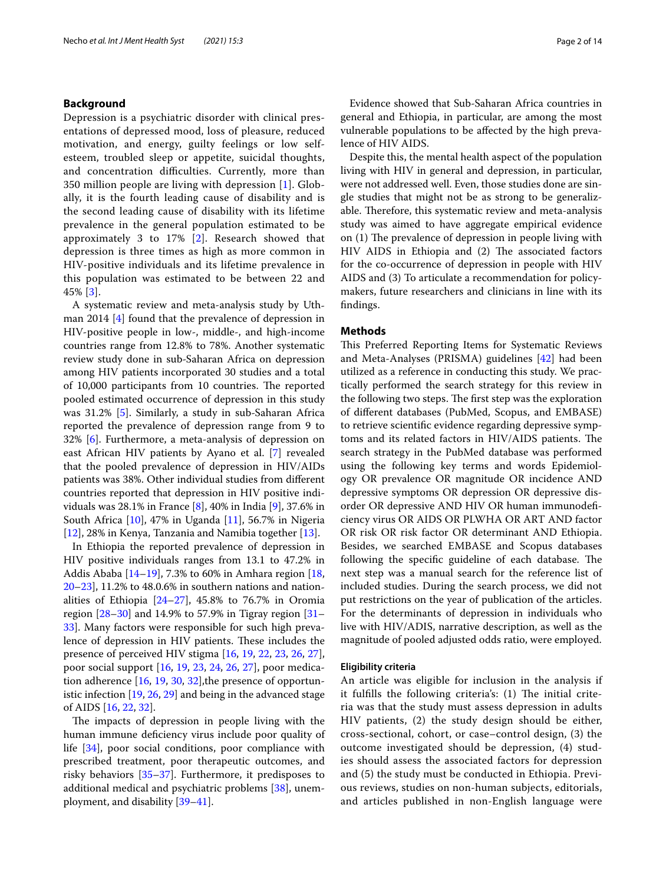## **Background**

Depression is a psychiatric disorder with clinical presentations of depressed mood, loss of pleasure, reduced motivation, and energy, guilty feelings or low selfesteem, troubled sleep or appetite, suicidal thoughts, and concentration difficulties. Currently, more than 350 million people are living with depression [[1\]](#page-12-0). Globally, it is the fourth leading cause of disability and is the second leading cause of disability with its lifetime prevalence in the general population estimated to be approximately 3 to 17% [[2](#page-12-1)]. Research showed that depression is three times as high as more common in HIV-positive individuals and its lifetime prevalence in this population was estimated to be between 22 and 45% [[3\]](#page-12-2).

A systematic review and meta-analysis study by Uthman 2014 [[4\]](#page-12-3) found that the prevalence of depression in HIV-positive people in low-, middle-, and high-income countries range from 12.8% to 78%. Another systematic review study done in sub-Saharan Africa on depression among HIV patients incorporated 30 studies and a total of 10,000 participants from 10 countries. The reported pooled estimated occurrence of depression in this study was 31.2% [\[5](#page-12-4)]. Similarly, a study in sub-Saharan Africa reported the prevalence of depression range from 9 to 32% [\[6](#page-12-5)]. Furthermore, a meta-analysis of depression on east African HIV patients by Ayano et al. [[7\]](#page-12-6) revealed that the pooled prevalence of depression in HIV/AIDs patients was 38%. Other individual studies from diferent countries reported that depression in HIV positive individuals was 28.1% in France [[8\]](#page-12-7), 40% in India [[9\]](#page-12-8), 37.6% in South Africa [[10\]](#page-12-9), 47% in Uganda [\[11](#page-12-10)], 56.7% in Nigeria [[12\]](#page-12-11), 28% in Kenya, Tanzania and Namibia together [\[13](#page-12-12)].

In Ethiopia the reported prevalence of depression in HIV positive individuals ranges from 13.1 to 47.2% in Addis Ababa [[14–](#page-12-13)[19\]](#page-12-14), 7.3% to 60% in Amhara region [\[18](#page-12-15), [20–](#page-12-16)[23](#page-12-17)], 11.2% to 48.0.6% in southern nations and nationalities of Ethiopia  $[24-27]$  $[24-27]$ , 45.8% to 76.7% in Oromia region [[28–](#page-13-1)[30\]](#page-13-2) and 14.9% to 57.9% in Tigray region [[31–](#page-13-3) [33\]](#page-13-4). Many factors were responsible for such high prevalence of depression in HIV patients. These includes the presence of perceived HIV stigma [[16,](#page-12-19) [19](#page-12-14), [22,](#page-12-20) [23,](#page-12-17) [26](#page-13-5), [27](#page-13-0)], poor social support [\[16,](#page-12-19) [19,](#page-12-14) [23](#page-12-17), [24](#page-12-18), [26](#page-13-5), [27\]](#page-13-0), poor medication adherence [[16](#page-12-19), [19](#page-12-14), [30,](#page-13-2) [32\]](#page-13-6),the presence of opportunistic infection [[19](#page-12-14), [26,](#page-13-5) [29](#page-13-7)] and being in the advanced stage of AIDS [\[16](#page-12-19), [22](#page-12-20), [32\]](#page-13-6).

The impacts of depression in people living with the human immune defciency virus include poor quality of life [[34](#page-13-8)], poor social conditions, poor compliance with prescribed treatment, poor therapeutic outcomes, and risky behaviors [[35–](#page-13-9)[37](#page-13-10)]. Furthermore, it predisposes to additional medical and psychiatric problems [\[38](#page-13-11)], unemployment, and disability [\[39–](#page-13-12)[41\]](#page-13-13).

Evidence showed that Sub-Saharan Africa countries in general and Ethiopia, in particular, are among the most vulnerable populations to be afected by the high prevalence of HIV AIDS.

Despite this, the mental health aspect of the population living with HIV in general and depression, in particular, were not addressed well. Even, those studies done are single studies that might not be as strong to be generalizable. Therefore, this systematic review and meta-analysis study was aimed to have aggregate empirical evidence on  $(1)$  The prevalence of depression in people living with HIV AIDS in Ethiopia and (2) The associated factors for the co-occurrence of depression in people with HIV AIDS and (3) To articulate a recommendation for policymakers, future researchers and clinicians in line with its fndings.

#### **Methods**

This Preferred Reporting Items for Systematic Reviews and Meta-Analyses (PRISMA) guidelines [\[42](#page-13-14)] had been utilized as a reference in conducting this study. We practically performed the search strategy for this review in the following two steps. The first step was the exploration of diferent databases (PubMed, Scopus, and EMBASE) to retrieve scientifc evidence regarding depressive symptoms and its related factors in HIV/AIDS patients. The search strategy in the PubMed database was performed using the following key terms and words Epidemiology OR prevalence OR magnitude OR incidence AND depressive symptoms OR depression OR depressive disorder OR depressive AND HIV OR human immunodefciency virus OR AIDS OR PLWHA OR ART AND factor OR risk OR risk factor OR determinant AND Ethiopia. Besides, we searched EMBASE and Scopus databases following the specific guideline of each database. The next step was a manual search for the reference list of included studies. During the search process, we did not put restrictions on the year of publication of the articles. For the determinants of depression in individuals who live with HIV/ADIS, narrative description, as well as the magnitude of pooled adjusted odds ratio, were employed.

#### **Eligibility criteria**

An article was eligible for inclusion in the analysis if it fulfills the following criteria's:  $(1)$  The initial criteria was that the study must assess depression in adults HIV patients, (2) the study design should be either, cross-sectional, cohort, or case–control design, (3) the outcome investigated should be depression, (4) studies should assess the associated factors for depression and (5) the study must be conducted in Ethiopia. Previous reviews, studies on non-human subjects, editorials, and articles published in non-English language were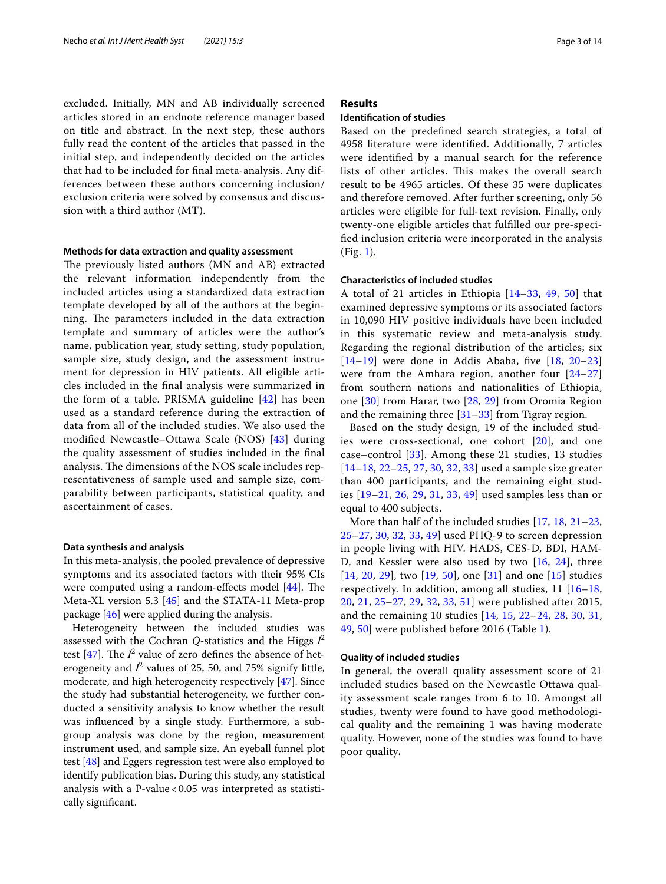excluded. Initially, MN and AB individually screened articles stored in an endnote reference manager based on title and abstract. In the next step, these authors fully read the content of the articles that passed in the initial step, and independently decided on the articles that had to be included for fnal meta-analysis. Any differences between these authors concerning inclusion/ exclusion criteria were solved by consensus and discussion with a third author (MT).

#### **Methods for data extraction and quality assessment**

The previously listed authors (MN and AB) extracted the relevant information independently from the included articles using a standardized data extraction template developed by all of the authors at the beginning. The parameters included in the data extraction template and summary of articles were the author's name, publication year, study setting, study population, sample size, study design, and the assessment instrument for depression in HIV patients. All eligible articles included in the fnal analysis were summarized in the form of a table. PRISMA guideline [[42\]](#page-13-14) has been used as a standard reference during the extraction of data from all of the included studies. We also used the modifed Newcastle–Ottawa Scale (NOS) [[43\]](#page-13-15) during the quality assessment of studies included in the fnal analysis. The dimensions of the NOS scale includes representativeness of sample used and sample size, comparability between participants, statistical quality, and ascertainment of cases.

#### **Data synthesis and analysis**

In this meta-analysis, the pooled prevalence of depressive symptoms and its associated factors with their 95% CIs were computed using a random-effects model  $[44]$  $[44]$ . The Meta-XL version 5.3 [\[45](#page-13-17)] and the STATA-11 Meta-prop package [[46\]](#page-13-18) were applied during the analysis.

Heterogeneity between the included studies was assessed with the Cochran *Q-*statistics and the Higgs *I* 2 test  $[47]$  $[47]$  $[47]$ . The  $I^2$  value of zero defines the absence of heterogeneity and  $I^2$  values of 25, 50, and 75% signify little, moderate, and high heterogeneity respectively [[47\]](#page-13-19). Since the study had substantial heterogeneity, we further conducted a sensitivity analysis to know whether the result was infuenced by a single study. Furthermore, a subgroup analysis was done by the region, measurement instrument used, and sample size. An eyeball funnel plot test [[48\]](#page-13-20) and Eggers regression test were also employed to identify publication bias. During this study, any statistical analysis with a P-value  $< 0.05$  was interpreted as statistically signifcant.

## **Results**

## **Identifcation of studies**

Based on the predefned search strategies, a total of 4958 literature were identifed. Additionally, 7 articles were identifed by a manual search for the reference lists of other articles. This makes the overall search result to be 4965 articles. Of these 35 were duplicates and therefore removed. After further screening, only 56 articles were eligible for full-text revision. Finally, only twenty-one eligible articles that fulflled our pre-specifed inclusion criteria were incorporated in the analysis (Fig. [1\)](#page-3-0).

## **Characteristics of included studies**

A total of 21 articles in Ethiopia [\[14](#page-12-13)[–33,](#page-13-4) [49](#page-13-21), [50\]](#page-13-22) that examined depressive symptoms or its associated factors in 10,090 HIV positive individuals have been included in this systematic review and meta-analysis study. Regarding the regional distribution of the articles; six  $[14–19]$  $[14–19]$  $[14–19]$  $[14–19]$  were done in Addis Ababa, five  $[18, 20–23]$  $[18, 20–23]$  $[18, 20–23]$  $[18, 20–23]$  $[18, 20–23]$  $[18, 20–23]$ were from the Amhara region, another four [[24](#page-12-18)[–27](#page-13-0)] from southern nations and nationalities of Ethiopia, one [[30\]](#page-13-2) from Harar, two [[28](#page-13-1), [29\]](#page-13-7) from Oromia Region and the remaining three  $[31-33]$  $[31-33]$  $[31-33]$  from Tigray region.

Based on the study design, 19 of the included studies were cross-sectional, one cohort [\[20\]](#page-12-16), and one case–control [\[33](#page-13-4)]. Among these 21 studies, 13 studies [[14](#page-12-13)[–18](#page-12-15), [22](#page-12-20)[–25](#page-12-21), [27](#page-13-0), [30,](#page-13-2) [32,](#page-13-6) [33](#page-13-4)] used a sample size greater than 400 participants, and the remaining eight studies [\[19](#page-12-14)[–21](#page-12-22), [26,](#page-13-5) [29](#page-13-7), [31](#page-13-3), [33,](#page-13-4) [49\]](#page-13-21) used samples less than or equal to 400 subjects.

More than half of the included studies [[17](#page-12-23), [18](#page-12-15), [21](#page-12-22)[–23](#page-12-17), [25–](#page-12-21)[27](#page-13-0), [30](#page-13-2), [32](#page-13-6), [33](#page-13-4), [49](#page-13-21)] used PHQ-9 to screen depression in people living with HIV. HADS, CES-D, BDI, HAM-D, and Kessler were also used by two [[16,](#page-12-19) [24\]](#page-12-18), three [[14](#page-12-13), [20,](#page-12-16) [29](#page-13-7)], two [[19](#page-12-14), [50](#page-13-22)], one [[31](#page-13-3)] and one [[15\]](#page-12-24) studies respectively. In addition, among all studies,  $11$   $[16-18,$  $[16-18,$  $[16-18,$ [20,](#page-12-16) [21,](#page-12-22) [25](#page-12-21)–[27](#page-13-0), [29](#page-13-7), [32](#page-13-6), [33](#page-13-4), [51](#page-13-23)] were published after 2015, and the remaining 10 studies [[14,](#page-12-13) [15](#page-12-24), [22](#page-12-20)[–24,](#page-12-18) [28,](#page-13-1) [30](#page-13-2), [31](#page-13-3), [49,](#page-13-21) [50\]](#page-13-22) were published before 2016 (Table [1](#page-4-0)).

## **Quality of included studies**

In general, the overall quality assessment score of 21 included studies based on the Newcastle Ottawa quality assessment scale ranges from 6 to 10. Amongst all studies, twenty were found to have good methodological quality and the remaining 1 was having moderate quality. However, none of the studies was found to have poor quality**.**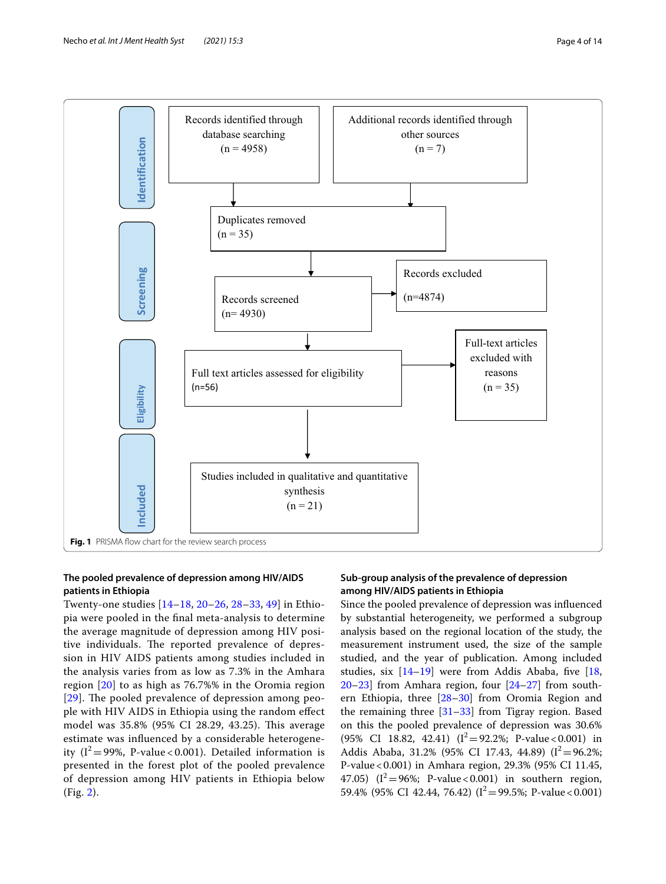

## <span id="page-3-0"></span>**The pooled prevalence of depression among HIV/AIDS patients in Ethiopia**

Twenty-one studies [[14–](#page-12-13)[18](#page-12-15), [20–](#page-12-16)[26](#page-13-5), [28–](#page-13-1)[33](#page-13-4), [49](#page-13-21)] in Ethiopia were pooled in the fnal meta-analysis to determine the average magnitude of depression among HIV positive individuals. The reported prevalence of depression in HIV AIDS patients among studies included in the analysis varies from as low as 7.3% in the Amhara region [\[20](#page-12-16)] to as high as 76.7%% in the Oromia region  $[29]$  $[29]$  $[29]$ . The pooled prevalence of depression among people with HIV AIDS in Ethiopia using the random efect model was 35.8% (95% CI 28.29, 43.25). This average estimate was infuenced by a considerable heterogeneity  $(I^2 = 99\%$ , P-value < 0.001). Detailed information is presented in the forest plot of the pooled prevalence of depression among HIV patients in Ethiopia below (Fig. [2\)](#page-5-0).

## **Sub‑group analysis of the prevalence of depression among HIV/AIDS patients in Ethiopia**

Since the pooled prevalence of depression was infuenced by substantial heterogeneity, we performed a subgroup analysis based on the regional location of the study, the measurement instrument used, the size of the sample studied, and the year of publication. Among included studies, six  $[14-19]$  $[14-19]$  $[14-19]$  were from Addis Ababa, five  $[18, 12]$  $[18, 12]$  $[18, 12]$ [20](#page-12-16)[–23](#page-12-17)] from Amhara region, four [\[24](#page-12-18)[–27\]](#page-13-0) from southern Ethiopia, three [\[28](#page-13-1)[–30\]](#page-13-2) from Oromia Region and the remaining three [[31](#page-13-3)[–33](#page-13-4)] from Tigray region. Based on this the pooled prevalence of depression was 30.6%  $(95\% \text{ CI } 18.82, 42.41)$   $(I^2=92.2\%; \text{ P-value} < 0.001)$  in Addis Ababa, 31.2% (95% CI 17.43, 44.89) ( $I^2 = 96.2\%$ ; P-value<0.001) in Amhara region, 29.3% (95% CI 11.45, 47.05)  $(I^2=96\%; P-value<0.001)$  in southern region, 59.4% (95% CI 42.44, 76.42) ( $I^2 = 99.5$ %; P-value < 0.001)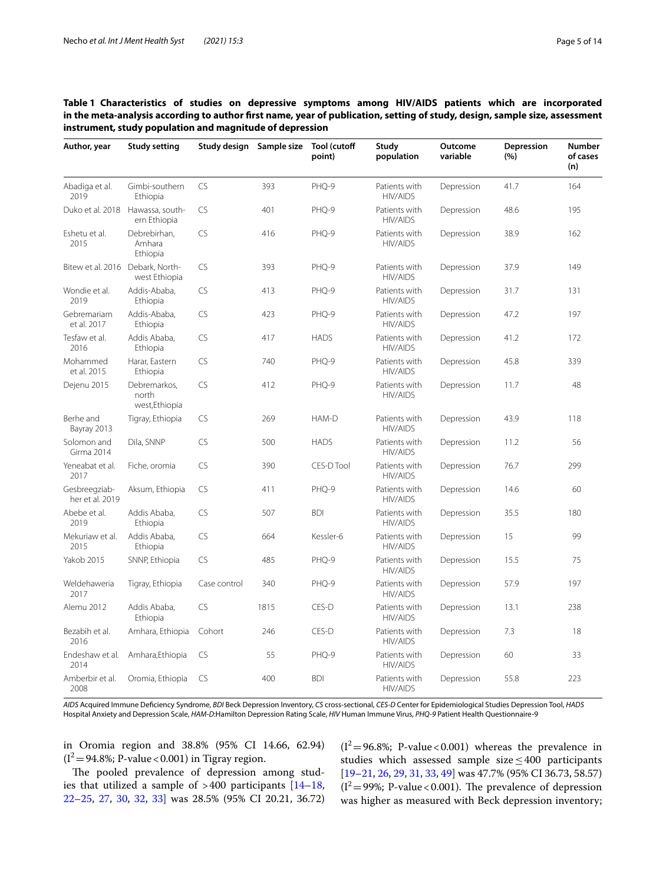<span id="page-4-0"></span>

| Table 1 Characteristics of studies on depressive symptoms among HIV/AIDS patients which are incorporated                    |  |  |  |  |  |  |
|-----------------------------------------------------------------------------------------------------------------------------|--|--|--|--|--|--|
| in the meta-analysis according to author first name, year of publication, setting of study, design, sample size, assessment |  |  |  |  |  |  |
| instrument, study population and magnitude of depression                                                                    |  |  |  |  |  |  |

| Author, year                     | <b>Study setting</b>                             | Study design Sample size |      | Tool (cutoff<br>point) | Study<br>population              | Outcome<br>variable | Depression<br>(%) | <b>Number</b><br>of cases<br>(n) |
|----------------------------------|--------------------------------------------------|--------------------------|------|------------------------|----------------------------------|---------------------|-------------------|----------------------------------|
| Abadiga et al.<br>2019           | Gimbi-southern<br>Ethiopia                       | <b>CS</b>                | 393  | PHQ-9                  | Patients with<br><b>HIV/AIDS</b> | Depression          | 41.7              | 164                              |
|                                  | Duko et al. 2018 Hawassa, south-<br>ern Ethiopia | <b>CS</b>                | 401  | PHQ-9                  | Patients with<br><b>HIV/AIDS</b> | Depression          | 48.6              | 195                              |
| Eshetu et al.<br>2015            | Debrebirhan,<br>Amhara<br>Ethiopia               | <b>CS</b>                | 416  | PHQ-9                  | Patients with<br><b>HIV/AIDS</b> | Depression          | 38.9              | 162                              |
| Bitew et al. 2016 Debark, North- | west Ethiopia                                    | <b>CS</b>                | 393  | PHQ-9                  | Patients with<br><b>HIV/AIDS</b> | Depression          | 37.9              | 149                              |
| Wondie et al.<br>2019            | Addis-Ababa,<br>Ethiopia                         | <b>CS</b>                | 413  | PHQ-9                  | Patients with<br><b>HIV/AIDS</b> | Depression          | 31.7              | 131                              |
| Gebremariam<br>et al. 2017       | Addis-Ababa,<br>Ethiopia                         | <b>CS</b>                | 423  | PHQ-9                  | Patients with<br><b>HIV/AIDS</b> | Depression          | 47.2              | 197                              |
| Tesfaw et al.<br>2016            | Addis Ababa,<br>Ethiopia                         | <b>CS</b>                | 417  | <b>HADS</b>            | Patients with<br><b>HIV/AIDS</b> | Depression          | 41.2              | 172                              |
| Mohammed<br>et al. 2015          | Harar, Eastern<br>Ethiopia                       | CS                       | 740  | PHQ-9                  | Patients with<br><b>HIV/AIDS</b> | Depression          | 45.8              | 339                              |
| Dejenu 2015                      | Debremarkos,<br>north<br>west, Ethiopia          | <b>CS</b>                | 412  | PHQ-9                  | Patients with<br><b>HIV/AIDS</b> | Depression          | 11.7              | 48                               |
| Berhe and<br>Bayray 2013         | Tigray, Ethiopia                                 | <b>CS</b>                | 269  | HAM-D                  | Patients with<br><b>HIV/AIDS</b> | Depression          | 43.9              | 118                              |
| Solomon and<br>Girma 2014        | Dila, SNNP                                       | CS                       | 500  | <b>HADS</b>            | Patients with<br><b>HIV/AIDS</b> | Depression          | 11.2              | 56                               |
| Yeneabat et al.<br>2017          | Fiche, oromia                                    | <b>CS</b>                | 390  | CES-D Tool             | Patients with<br><b>HIV/AIDS</b> | Depression          | 76.7              | 299                              |
| Gesbreegziab-<br>her et al. 2019 | Aksum, Ethiopia                                  | <b>CS</b>                | 411  | PHQ-9                  | Patients with<br><b>HIV/AIDS</b> | Depression          | 14.6              | 60                               |
| Abebe et al.<br>2019             | Addis Ababa,<br>Ethiopia                         | <b>CS</b>                | 507  | <b>BDI</b>             | Patients with<br><b>HIV/AIDS</b> | Depression          | 35.5              | 180                              |
| Mekuriaw et al.<br>2015          | Addis Ababa,<br>Ethiopia                         | <b>CS</b>                | 664  | Kessler-6              | Patients with<br><b>HIV/AIDS</b> | Depression          | 15                | 99                               |
| <b>Yakob 2015</b>                | SNNP, Ethiopia                                   | <b>CS</b>                | 485  | PHQ-9                  | Patients with<br><b>HIV/AIDS</b> | Depression          | 15.5              | 75                               |
| Weldehaweria<br>2017             | Tigray, Ethiopia                                 | Case control             | 340  | PHQ-9                  | Patients with<br><b>HIV/AIDS</b> | Depression          | 57.9              | 197                              |
| Alemu 2012                       | Addis Ababa,<br>Ethiopia                         | <b>CS</b>                | 1815 | CES-D                  | Patients with<br><b>HIV/AIDS</b> | Depression          | 13.1              | 238                              |
| Bezabih et al.<br>2016           | Amhara, Ethiopia                                 | Cohort                   | 246  | CES-D                  | Patients with<br><b>HIV/AIDS</b> | Depression          | 7.3               | 18                               |
| Endeshaw et al.<br>2014          | Amhara, Ethiopia                                 | <b>CS</b>                | 55   | PHQ-9                  | Patients with<br><b>HIV/AIDS</b> | Depression          | 60                | 33                               |
| Amberbir et al.<br>2008          | Oromia, Ethiopia                                 | <b>CS</b>                | 400  | <b>BDI</b>             | Patients with<br><b>HIV/AIDS</b> | Depression          | 55.8              | 223                              |

*AIDS* Acquired Immune Defciency Syndrome, *BDI* Beck Depression Inventory, *CS* cross-sectional, *CES-D* Center for Epidemiological Studies Depression Tool, *HADS* Hospital Anxiety and Depression Scale, *HAM-D*:Hamilton Depression Rating Scale, *HIV* Human Immune Virus, *PHQ-9* Patient Health Questionnaire-9

in Oromia region and 38.8% (95% CI 14.66, 62.94)  $(I^2=94.8\%; P-value < 0.001)$  in Tigray region.

The pooled prevalence of depression among studies that utilized a sample of  $>400$  participants  $[14-18,$  $[14-18,$  $[14-18,$ [22–](#page-12-20)[25](#page-12-21), [27](#page-13-0), [30](#page-13-2), [32,](#page-13-6) [33\]](#page-13-4) was 28.5% (95% CI 20.21, 36.72)  $(I^2=96.8\%; P-value<0.001)$  whereas the prevalence in studies which assessed sample size≤400 participants [[19–](#page-12-14)[21,](#page-12-22) [26,](#page-13-5) [29,](#page-13-7) [31](#page-13-3), [33](#page-13-4), [49](#page-13-21)] was 47.7% (95% CI 36.73, 58.57)  $(I^2=99\%; P-value < 0.001)$ . The prevalence of depression was higher as measured with Beck depression inventory;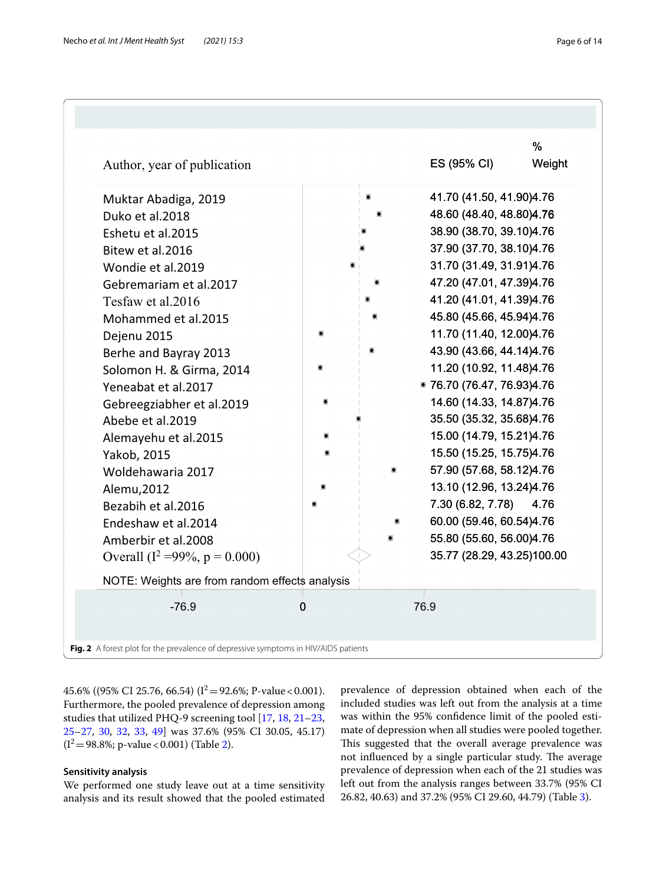| Author, year of publication                    |   |  | ES (95% CI)                | %<br>Weight |
|------------------------------------------------|---|--|----------------------------|-------------|
| Muktar Abadiga, 2019                           |   |  | 41.70 (41.50, 41.90) 4.76  |             |
| Duko et al.2018                                |   |  | 48.60 (48.40, 48.80) 4.76  |             |
| Eshetu et al.2015                              |   |  | 38.90 (38.70, 39.10)4.76   |             |
| Bitew et al.2016                               |   |  | 37.90 (37.70, 38.10)4.76   |             |
| Wondie et al.2019                              |   |  | 31.70 (31.49, 31.91)4.76   |             |
| Gebremariam et al.2017                         |   |  | 47.20 (47.01, 47.39)4.76   |             |
| Tesfaw et al.2016                              |   |  | 41.20 (41.01, 41.39)4.76   |             |
| Mohammed et al.2015                            |   |  | 45.80 (45.66, 45.94)4.76   |             |
| Dejenu 2015                                    |   |  | 11.70 (11.40, 12.00)4.76   |             |
| Berhe and Bayray 2013                          |   |  | 43.90 (43.66, 44.14)4.76   |             |
| Solomon H. & Girma, 2014                       |   |  | 11.20 (10.92, 11.48)4.76   |             |
| Yeneabat et al.2017                            |   |  | * 76.70 (76.47, 76.93)4.76 |             |
| Gebreegziabher et al.2019                      |   |  | 14.60 (14.33, 14.87) 4.76  |             |
| Abebe et al.2019                               |   |  | 35.50 (35.32, 35.68)4.76   |             |
| Alemayehu et al.2015                           |   |  | 15.00 (14.79, 15.21)4.76   |             |
| Yakob, 2015                                    |   |  | 15.50 (15.25, 15.75)4.76   |             |
| Woldehawaria 2017                              |   |  | 57.90 (57.68, 58.12)4.76   |             |
| Alemu, 2012                                    |   |  | 13.10 (12.96, 13.24)4.76   |             |
| Bezabih et al.2016                             |   |  | 7.30 (6.82, 7.78)          | 4.76        |
| Endeshaw et al.2014                            |   |  | 60.00 (59.46, 60.54)4.76   |             |
| Amberbir et al.2008                            |   |  | 55.80 (55.60, 56.00)4.76   |             |
| Overall ( $I^2 = 99\%$ , $p = 0.000$ )         |   |  | 35.77 (28.29, 43.25)100.00 |             |
| NOTE: Weights are from random effects analysis |   |  |                            |             |
| $-76.9$                                        | 0 |  | 76.9                       |             |
|                                                |   |  |                            |             |

<span id="page-5-0"></span>45.6% ((95% CI 25.76, 66.54) ( $I^2 = 92.6$ %; P-value < 0.001). Furthermore, the pooled prevalence of depression among studies that utilized PHQ-9 screening tool [[17,](#page-12-23) [18](#page-12-15), [21](#page-12-22)[–23](#page-12-17), [25–](#page-12-21)[27](#page-13-0), [30](#page-13-2), [32](#page-13-6), [33,](#page-13-4) [49\]](#page-13-21) was 37.6% (95% CI 30.05, 45.17)  $(I^2 = 98.8\%; p-value < 0.001)$  (Table [2\)](#page-6-0).

## **Sensitivity analysis**

We performed one study leave out at a time sensitivity analysis and its result showed that the pooled estimated prevalence of depression obtained when each of the included studies was left out from the analysis at a time was within the 95% confdence limit of the pooled estimate of depression when all studies were pooled together. This suggested that the overall average prevalence was not influenced by a single particular study. The average prevalence of depression when each of the 21 studies was left out from the analysis ranges between 33.7% (95% CI 26.82, 40.63) and 37.2% (95% CI 29.60, 44.79) (Table [3\)](#page-7-0).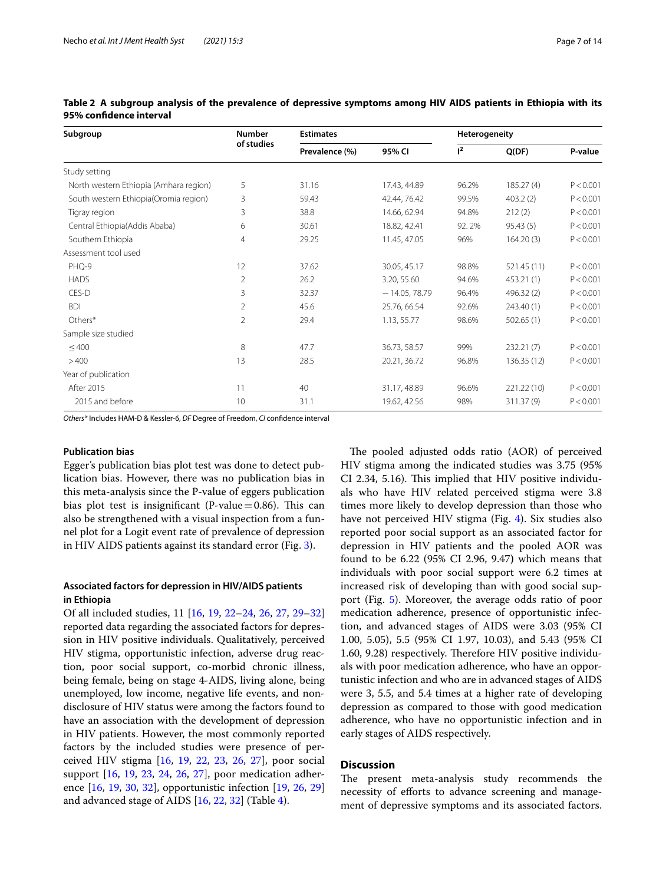| Subgroup                               | <b>Number</b> | <b>Estimates</b> |                 | Heterogeneity  |             |           |
|----------------------------------------|---------------|------------------|-----------------|----------------|-------------|-----------|
|                                        | of studies    | Prevalence (%)   | 95% CI          | 1 <sup>2</sup> | Q(DF)       | P-value   |
| Study setting                          |               |                  |                 |                |             |           |
| North western Ethiopia (Amhara region) | 5             | 31.16            | 17.43, 44.89    | 96.2%          | 185.27(4)   | P < 0.001 |
| South western Ethiopia(Oromia region)  | 3             | 59.43            | 42.44, 76.42    | 99.5%          | 403.2(2)    | P < 0.001 |
| Tigray region                          | 3             | 38.8             | 14.66, 62.94    | 94.8%          | 212(2)      | P < 0.001 |
| Central Ethiopia(Addis Ababa)          | 6             | 30.61            | 18.82, 42.41    | 92.2%          | 95.43(5)    | P < 0.001 |
| Southern Ethiopia                      | 4             | 29.25            | 11.45, 47.05    | 96%            | 164.20(3)   | P < 0.001 |
| Assessment tool used                   |               |                  |                 |                |             |           |
| PHQ-9                                  | 12            | 37.62            | 30.05, 45.17    | 98.8%          | 521.45 (11) | P < 0.001 |
| <b>HADS</b>                            | 2             | 26.2             | 3.20, 55.60     | 94.6%          | 453.21 (1)  | P < 0.001 |
| CES-D                                  | 3             | 32.37            | $-14.05, 78.79$ | 96.4%          | 496.32 (2)  | P < 0.001 |
| <b>BDI</b>                             | 2             | 45.6             | 25.76, 66.54    | 92.6%          | 243.40 (1)  | P < 0.001 |
| Others*                                | 2             | 29.4             | 1.13, 55.77     | 98.6%          | 502.65(1)   | P < 0.001 |
| Sample size studied                    |               |                  |                 |                |             |           |
| $\leq 400$                             | 8             | 47.7             | 36.73, 58.57    | 99%            | 232.21(7)   | P < 0.001 |
| >400                                   | 13            | 28.5             | 20.21, 36.72    | 96.8%          | 136.35 (12) | P < 0.001 |
| Year of publication                    |               |                  |                 |                |             |           |
| After 2015                             | 11            | 40               | 31.17, 48.89    | 96.6%          | 221.22 (10) | P < 0.001 |
| 2015 and before                        | 10            | 31.1             | 19.62, 42.56    | 98%            | 311.37 (9)  | P < 0.001 |

<span id="page-6-0"></span>**Table 2 A subgroup analysis of the prevalence of depressive symptoms among HIV AIDS patients in Ethiopia with its 95% confdence interval**

*Others\** Includes HAM-D & Kessler-6, *DF* Degree of Freedom, *CI* confdence interval

#### **Publication bias**

Egger's publication bias plot test was done to detect publication bias. However, there was no publication bias in this meta-analysis since the P-value of eggers publication bias plot test is insignificant (P-value $=0.86$ ). This can also be strengthened with a visual inspection from a funnel plot for a Logit event rate of prevalence of depression in HIV AIDS patients against its standard error (Fig. [3\)](#page-8-0).

## **Associated factors for depression in HIV/AIDS patients in Ethiopia**

Of all included studies, 11 [\[16,](#page-12-19) [19,](#page-12-14) [22–](#page-12-20)[24,](#page-12-18) [26,](#page-13-5) [27,](#page-13-0) [29–](#page-13-7)[32](#page-13-6)] reported data regarding the associated factors for depression in HIV positive individuals. Qualitatively, perceived HIV stigma, opportunistic infection, adverse drug reaction, poor social support, co-morbid chronic illness, being female, being on stage 4-AIDS, living alone, being unemployed, low income, negative life events, and nondisclosure of HIV status were among the factors found to have an association with the development of depression in HIV patients. However, the most commonly reported factors by the included studies were presence of perceived HIV stigma [\[16,](#page-12-19) [19](#page-12-14), [22](#page-12-20), [23,](#page-12-17) [26,](#page-13-5) [27\]](#page-13-0), poor social support [\[16](#page-12-19), [19,](#page-12-14) [23](#page-12-17), [24,](#page-12-18) [26](#page-13-5), [27\]](#page-13-0), poor medication adherence [[16,](#page-12-19) [19,](#page-12-14) [30,](#page-13-2) [32](#page-13-6)], opportunistic infection [\[19](#page-12-14), [26](#page-13-5), [29](#page-13-7)] and advanced stage of AIDS [[16](#page-12-19), [22,](#page-12-20) [32](#page-13-6)] (Table [4](#page-9-0)).

The pooled adjusted odds ratio (AOR) of perceived HIV stigma among the indicated studies was 3.75 (95% CI 2.34, 5.16). This implied that HIV positive individuals who have HIV related perceived stigma were 3.8 times more likely to develop depression than those who have not perceived HIV stigma (Fig. [4\)](#page-10-0). Six studies also reported poor social support as an associated factor for depression in HIV patients and the pooled AOR was found to be 6.22 (95% CI 2.96, 9.47**)** which means that individuals with poor social support were 6.2 times at increased risk of developing than with good social support (Fig. [5](#page-11-0)). Moreover, the average odds ratio of poor medication adherence, presence of opportunistic infection, and advanced stages of AIDS were 3.03 (95% CI 1.00, 5.05), 5.5 (95% CI 1.97, 10.03), and 5.43 (95% CI 1.60, 9.28) respectively. Therefore HIV positive individuals with poor medication adherence, who have an opportunistic infection and who are in advanced stages of AIDS were 3, 5.5, and 5.4 times at a higher rate of developing depression as compared to those with good medication adherence, who have no opportunistic infection and in early stages of AIDS respectively.

## **Discussion**

The present meta-analysis study recommends the necessity of eforts to advance screening and management of depressive symptoms and its associated factors.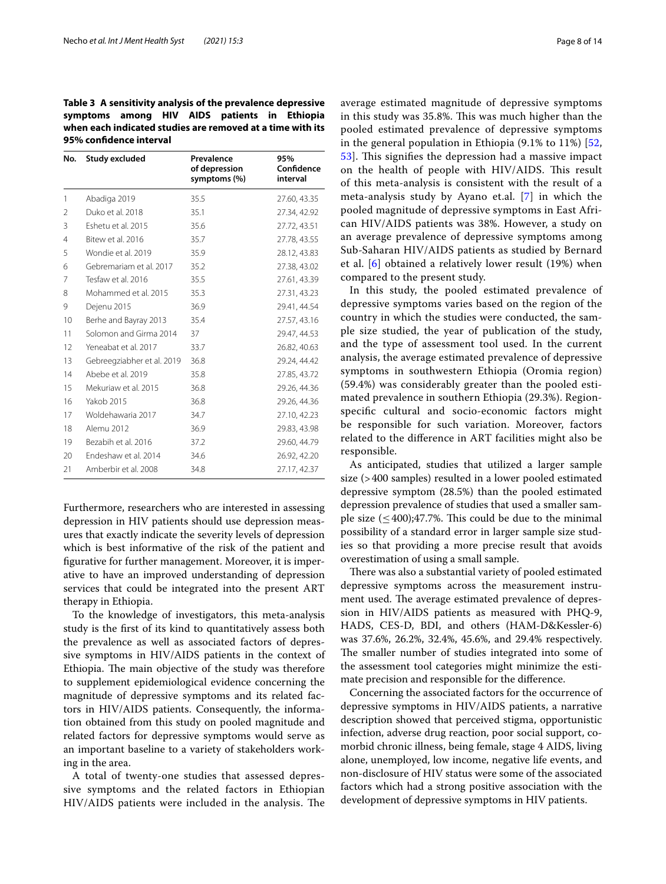<span id="page-7-0"></span>**Table 3 A sensitivity analysis of the prevalence depressive symptoms among HIV AIDS patients in Ethiopia when each indicated studies are removed at a time with its 95% confdence interval**

| No.            | <b>Study excluded</b>      | Prevalence<br>of depression<br>symptoms (%) | 95%<br>Confidence<br>interval |
|----------------|----------------------------|---------------------------------------------|-------------------------------|
| 1              | Abadiga 2019               | 35.5                                        | 27.60, 43.35                  |
| $\mathfrak{D}$ | Duko et al. 2018           | 35.1                                        | 27.34, 42.92                  |
| 3              | Eshetu et al. 2015         | 35.6                                        | 27.72, 43.51                  |
| 4              | Bitew et al. 2016          | 35.7                                        | 27.78, 43.55                  |
| 5              | Wondie et al. 2019         | 35.9                                        | 28.12, 43.83                  |
| 6              | Gebremariam et al. 2017    | 35.2                                        | 27.38, 43.02                  |
| 7              | Tesfaw et al. 2016         | 35.5                                        | 27.61, 43.39                  |
| 8              | Mohammed et al. 2015       | 35.3                                        | 27.31, 43.23                  |
| 9              | Dejenu 2015                | 36.9                                        | 29.41, 44.54                  |
| 10             | Berhe and Bayray 2013      | 35.4                                        | 27.57, 43.16                  |
| 11             | Solomon and Girma 2014     | 37                                          | 29.47, 44.53                  |
| 12             | Yeneabat et al. 2017       | 33.7                                        | 26.82, 40.63                  |
| 13             | Gebreegziabher et al. 2019 | 36.8                                        | 29.24, 44.42                  |
| 14             | Abebe et al. 2019          | 35.8                                        | 27.85, 43.72                  |
| 15             | Mekuriaw et al. 2015       | 36.8                                        | 29.26, 44.36                  |
| 16             | <b>Yakob 2015</b>          | 36.8                                        | 29.26, 44.36                  |
| 17             | Woldehawaria 2017          | 34.7                                        | 27.10, 42.23                  |
| 18             | Alemu 2012                 | 36.9                                        | 29.83, 43.98                  |
| 19             | Bezabih et al. 2016        | 37.2                                        | 29.60, 44.79                  |
| 20             | Fndeshaw et al. 2014       | 34.6                                        | 26.92, 42.20                  |
| 21             | Amberbir et al. 2008       | 34.8                                        | 27.17, 42.37                  |

Furthermore, researchers who are interested in assessing depression in HIV patients should use depression measures that exactly indicate the severity levels of depression which is best informative of the risk of the patient and fgurative for further management. Moreover, it is imperative to have an improved understanding of depression services that could be integrated into the present ART therapy in Ethiopia.

To the knowledge of investigators, this meta-analysis study is the frst of its kind to quantitatively assess both the prevalence as well as associated factors of depressive symptoms in HIV/AIDS patients in the context of Ethiopia. The main objective of the study was therefore to supplement epidemiological evidence concerning the magnitude of depressive symptoms and its related factors in HIV/AIDS patients. Consequently, the information obtained from this study on pooled magnitude and related factors for depressive symptoms would serve as an important baseline to a variety of stakeholders working in the area.

A total of twenty-one studies that assessed depressive symptoms and the related factors in Ethiopian HIV/AIDS patients were included in the analysis. The average estimated magnitude of depressive symptoms in this study was 35.8%. This was much higher than the pooled estimated prevalence of depressive symptoms in the general population in Ethiopia (9.1% to 11%) [\[52](#page-13-24), [53\]](#page-13-25). This signifies the depression had a massive impact on the health of people with HIV/AIDS. This result of this meta-analysis is consistent with the result of a meta-analysis study by Ayano et.al. [[7](#page-12-6)] in which the pooled magnitude of depressive symptoms in East African HIV/AIDS patients was 38%. However, a study on an average prevalence of depressive symptoms among Sub-Saharan HIV/AIDS patients as studied by Bernard et al. [[6\]](#page-12-5) obtained a relatively lower result (19%) when compared to the present study.

In this study, the pooled estimated prevalence of depressive symptoms varies based on the region of the country in which the studies were conducted, the sample size studied, the year of publication of the study, and the type of assessment tool used. In the current analysis, the average estimated prevalence of depressive symptoms in southwestern Ethiopia (Oromia region) (59.4%) was considerably greater than the pooled estimated prevalence in southern Ethiopia (29.3%). Regionspecifc cultural and socio-economic factors might be responsible for such variation. Moreover, factors related to the diference in ART facilities might also be responsible.

As anticipated, studies that utilized a larger sample size (>400 samples) resulted in a lower pooled estimated depressive symptom (28.5%) than the pooled estimated depression prevalence of studies that used a smaller sample size  $(\leq 400);47.7\%$ . This could be due to the minimal possibility of a standard error in larger sample size studies so that providing a more precise result that avoids overestimation of using a small sample.

There was also a substantial variety of pooled estimated depressive symptoms across the measurement instrument used. The average estimated prevalence of depression in HIV/AIDS patients as measured with PHQ-9, HADS, CES-D, BDI, and others (HAM-D&Kessler-6) was 37.6%, 26.2%, 32.4%, 45.6%, and 29.4% respectively. The smaller number of studies integrated into some of the assessment tool categories might minimize the estimate precision and responsible for the diference.

Concerning the associated factors for the occurrence of depressive symptoms in HIV/AIDS patients, a narrative description showed that perceived stigma, opportunistic infection, adverse drug reaction, poor social support, comorbid chronic illness, being female, stage 4 AIDS, living alone, unemployed, low income, negative life events, and non-disclosure of HIV status were some of the associated factors which had a strong positive association with the development of depressive symptoms in HIV patients.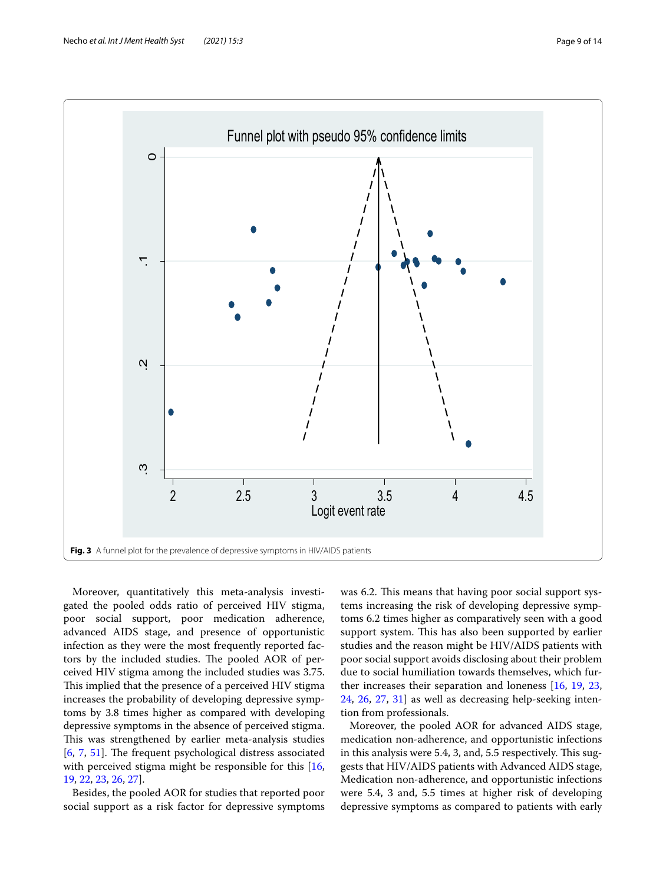

<span id="page-8-0"></span>Moreover, quantitatively this meta-analysis investigated the pooled odds ratio of perceived HIV stigma, poor social support, poor medication adherence, advanced AIDS stage, and presence of opportunistic infection as they were the most frequently reported factors by the included studies. The pooled AOR of perceived HIV stigma among the included studies was 3.75. This implied that the presence of a perceived HIV stigma increases the probability of developing depressive symptoms by 3.8 times higher as compared with developing depressive symptoms in the absence of perceived stigma. This was strengthened by earlier meta-analysis studies  $[6, 7, 51]$  $[6, 7, 51]$  $[6, 7, 51]$  $[6, 7, 51]$  $[6, 7, 51]$  $[6, 7, 51]$  $[6, 7, 51]$ . The frequent psychological distress associated with perceived stigma might be responsible for this [\[16](#page-12-19), [19,](#page-12-14) [22,](#page-12-20) [23](#page-12-17), [26,](#page-13-5) [27](#page-13-0)].

Besides, the pooled AOR for studies that reported poor social support as a risk factor for depressive symptoms was 6.2. This means that having poor social support systems increasing the risk of developing depressive symptoms 6.2 times higher as comparatively seen with a good support system. This has also been supported by earlier studies and the reason might be HIV/AIDS patients with poor social support avoids disclosing about their problem due to social humiliation towards themselves, which further increases their separation and loneness [\[16](#page-12-19), [19,](#page-12-14) [23](#page-12-17), [24,](#page-12-18) [26](#page-13-5), [27,](#page-13-0) [31](#page-13-3)] as well as decreasing help-seeking intention from professionals.

Moreover, the pooled AOR for advanced AIDS stage, medication non-adherence, and opportunistic infections in this analysis were 5.4, 3, and, 5.5 respectively. This suggests that HIV/AIDS patients with Advanced AIDS stage, Medication non-adherence, and opportunistic infections were 5.4, 3 and, 5.5 times at higher risk of developing depressive symptoms as compared to patients with early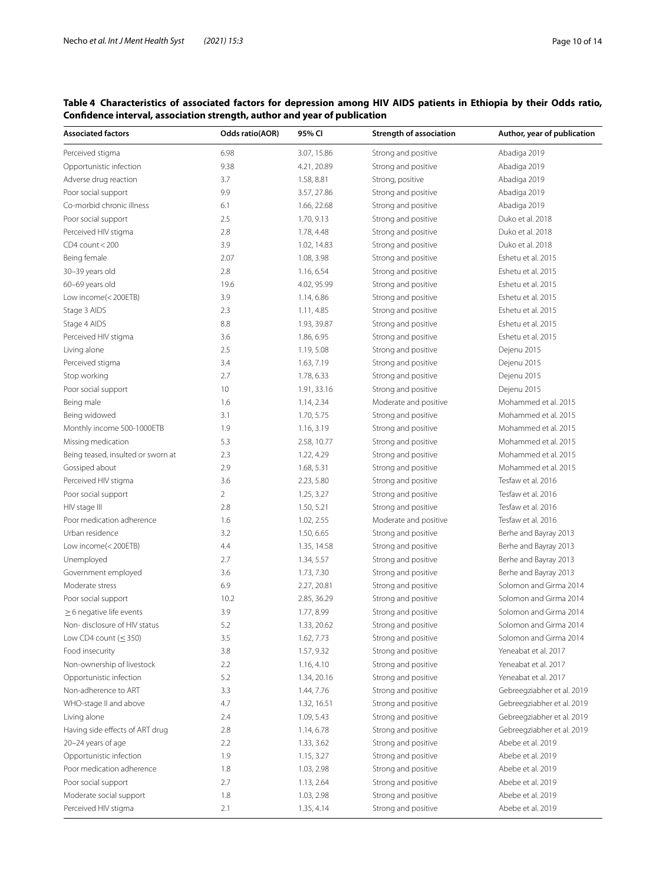## <span id="page-9-0"></span>**Table 4 Characteristics of associated factors for depression among HIV AIDS patients in Ethiopia by their Odds ratio, Confdence interval, association strength, author and year of publication**

| <b>Associated factors</b>          | <b>Odds ratio(AOR)</b> | 95% CI      | Strength of association | Author, year of publication |
|------------------------------------|------------------------|-------------|-------------------------|-----------------------------|
| Perceived stigma                   | 6.98                   | 3.07, 15.86 | Strong and positive     | Abadiga 2019                |
| Opportunistic infection            | 9.38                   | 4.21, 20.89 | Strong and positive     | Abadiga 2019                |
| Adverse drug reaction              | 3.7                    | 1.58, 8.81  | Strong, positive        | Abadiga 2019                |
| Poor social support                | 9.9                    | 3.57, 27.86 | Strong and positive     | Abadiga 2019                |
| Co-morbid chronic illness          | 6.1                    | 1.66, 22.68 | Strong and positive     | Abadiga 2019                |
| Poor social support                | 2.5                    | 1.70, 9.13  | Strong and positive     | Duko et al. 2018            |
| Perceived HIV stigma               | 2.8                    | 1.78, 4.48  | Strong and positive     | Duko et al. 2018            |
| $CD4$ count $<$ 200                | 3.9                    | 1.02, 14.83 | Strong and positive     | Duko et al. 2018            |
| Being female                       | 2.07                   | 1.08, 3.98  | Strong and positive     | Eshetu et al. 2015          |
| 30-39 years old                    | 2.8                    | 1.16, 6.54  | Strong and positive     | Eshetu et al. 2015          |
| 60-69 years old                    | 19.6                   | 4.02, 95.99 | Strong and positive     | Eshetu et al. 2015          |
| Low income(<200ETB)                | 3.9                    | 1.14, 6.86  | Strong and positive     | Eshetu et al. 2015          |
| Stage 3 AIDS                       | 2.3                    | 1.11, 4.85  | Strong and positive     | Eshetu et al. 2015          |
| Stage 4 AIDS                       | 8.8                    | 1.93, 39.87 | Strong and positive     | Eshetu et al. 2015          |
| Perceived HIV stigma               | 3.6                    | 1.86, 6.95  | Strong and positive     | Eshetu et al. 2015          |
| Living alone                       | 2.5                    | 1.19, 5.08  | Strong and positive     | Dejenu 2015                 |
| Perceived stigma                   | 3.4                    | 1.63, 7.19  | Strong and positive     | Dejenu 2015                 |
| Stop working                       | 2.7                    | 1.78, 6.33  | Strong and positive     | Dejenu 2015                 |
| Poor social support                | 10                     | 1.91, 33.16 | Strong and positive     | Dejenu 2015                 |
| Being male                         | 1.6                    | 1.14, 2.34  | Moderate and positive   | Mohammed et al. 2015        |
| Being widowed                      | 3.1                    | 1.70, 5.75  | Strong and positive     | Mohammed et al. 2015        |
| Monthly income 500-1000ETB         | 1.9                    | 1.16, 3.19  | Strong and positive     | Mohammed et al. 2015        |
| Missing medication                 | 5.3                    | 2.58, 10.77 | Strong and positive     | Mohammed et al. 2015        |
| Being teased, insulted or sworn at | 2.3                    | 1.22, 4.29  | Strong and positive     | Mohammed et al. 2015        |
| Gossiped about                     | 2.9                    | 1.68, 5.31  | Strong and positive     | Mohammed et al. 2015        |
| Perceived HIV stigma               | 3.6                    | 2.23, 5.80  | Strong and positive     | Tesfaw et al. 2016          |
| Poor social support                | $\overline{2}$         | 1.25, 3.27  | Strong and positive     | Tesfaw et al. 2016          |
| HIV stage III                      | 2.8                    | 1.50, 5.21  | Strong and positive     | Tesfaw et al. 2016          |
| Poor medication adherence          | 1.6                    | 1.02, 2.55  | Moderate and positive   | Tesfaw et al. 2016          |
| Urban residence                    | 3.2                    | 1.50, 6.65  | Strong and positive     | Berhe and Bayray 2013       |
| Low income(<200ETB)                | 4.4                    | 1.35, 14.58 | Strong and positive     | Berhe and Bayray 2013       |
| Unemployed                         | 2.7                    | 1.34, 5.57  | Strong and positive     | Berhe and Bayray 2013       |
| Government employed                | 3.6                    | 1.73, 7.30  | Strong and positive     | Berhe and Bayray 2013       |
| Moderate stress                    | 6.9                    | 2.27, 20.81 | Strong and positive     | Solomon and Girma 2014      |
| Poor social support                | 10.2                   | 2.85, 36.29 | Strong and positive     | Solomon and Girma 2014      |
| $\geq$ 6 negative life events      | 3.9                    | 1.77, 8.99  | Strong and positive     | Solomon and Girma 2014      |
| Non-disclosure of HIV status       | 5.2                    | 1.33, 20.62 | Strong and positive     | Solomon and Girma 2014      |
| Low CD4 count $(\leq 350)$         | 3.5                    | 1.62, 7.73  | Strong and positive     | Solomon and Girma 2014      |
| Food insecurity                    | 3.8                    | 1.57, 9.32  | Strong and positive     | Yeneabat et al. 2017        |
| Non-ownership of livestock         | $2.2\,$                | 1.16, 4.10  | Strong and positive     | Yeneabat et al. 2017        |
| Opportunistic infection            | 5.2                    | 1.34, 20.16 | Strong and positive     | Yeneabat et al. 2017        |
| Non-adherence to ART               | 3.3                    | 1.44, 7.76  | Strong and positive     | Gebreegziabher et al. 2019  |
| WHO-stage II and above             | 4.7                    | 1.32, 16.51 | Strong and positive     | Gebreegziabher et al. 2019  |
| Living alone                       | 2.4                    | 1.09, 5.43  | Strong and positive     | Gebreegziabher et al. 2019  |
| Having side effects of ART drug    | 2.8                    | 1.14, 6.78  | Strong and positive     | Gebreegziabher et al. 2019  |
| 20-24 years of age                 | 2.2                    | 1.33, 3.62  | Strong and positive     | Abebe et al. 2019           |
| Opportunistic infection            | 1.9                    | 1.15, 3.27  | Strong and positive     | Abebe et al. 2019           |
| Poor medication adherence          | 1.8                    | 1.03, 2.98  | Strong and positive     | Abebe et al. 2019           |
| Poor social support                | 2.7                    | 1.13, 2.64  | Strong and positive     | Abebe et al. 2019           |
| Moderate social support            | 1.8                    | 1.03, 2.98  | Strong and positive     | Abebe et al. 2019           |
| Perceived HIV stigma               | 2.1                    | 1.35, 4.14  | Strong and positive     | Abebe et al. 2019           |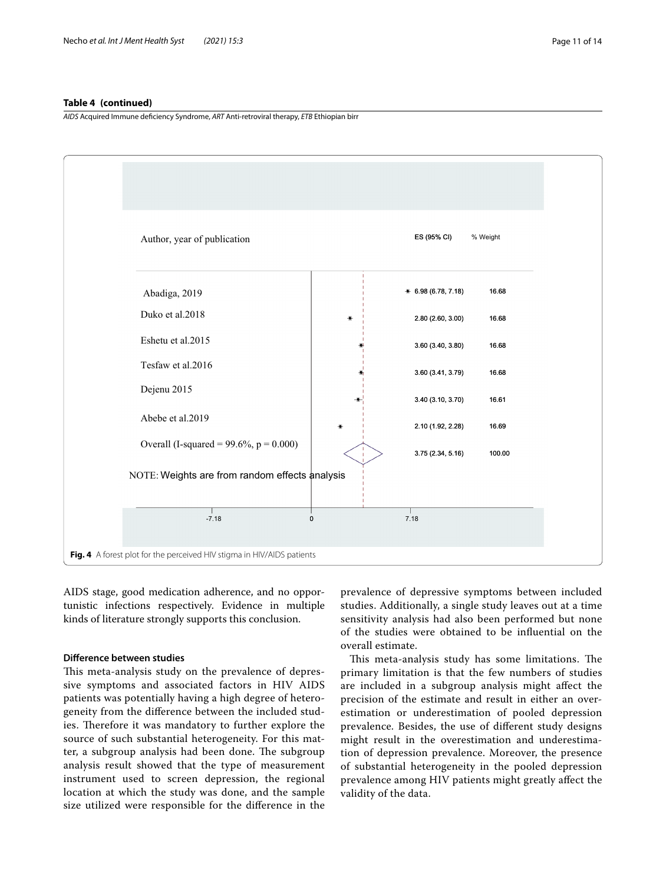## **Table 4 (continued)**

*AIDS* Acquired Immune defciency Syndrome, *ART* Anti-retroviral therapy, *ETB* Ethiopian birr



<span id="page-10-0"></span>AIDS stage, good medication adherence, and no opportunistic infections respectively. Evidence in multiple kinds of literature strongly supports this conclusion.

## **Diference between studies**

This meta-analysis study on the prevalence of depressive symptoms and associated factors in HIV AIDS patients was potentially having a high degree of heterogeneity from the diference between the included studies. Therefore it was mandatory to further explore the source of such substantial heterogeneity. For this matter, a subgroup analysis had been done. The subgroup analysis result showed that the type of measurement instrument used to screen depression, the regional location at which the study was done, and the sample size utilized were responsible for the diference in the

prevalence of depressive symptoms between included studies. Additionally, a single study leaves out at a time sensitivity analysis had also been performed but none of the studies were obtained to be infuential on the overall estimate.

This meta-analysis study has some limitations. The primary limitation is that the few numbers of studies are included in a subgroup analysis might afect the precision of the estimate and result in either an overestimation or underestimation of pooled depression prevalence. Besides, the use of diferent study designs might result in the overestimation and underestimation of depression prevalence. Moreover, the presence of substantial heterogeneity in the pooled depression prevalence among HIV patients might greatly afect the validity of the data.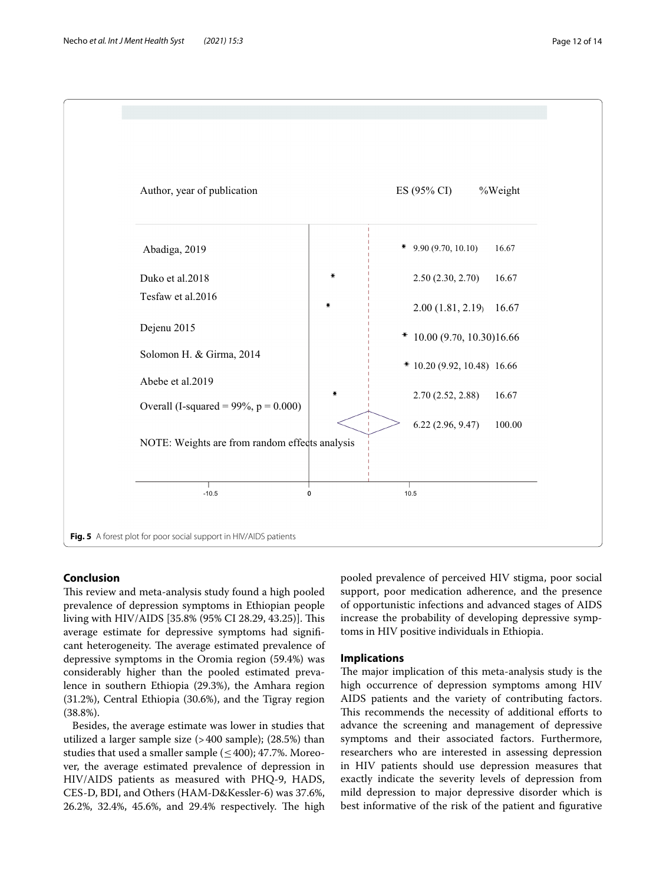

## <span id="page-11-0"></span>**Conclusion**

This review and meta-analysis study found a high pooled prevalence of depression symptoms in Ethiopian people living with HIV/AIDS [35.8% (95% CI 28.29, 43.25)]. This average estimate for depressive symptoms had signifcant heterogeneity. The average estimated prevalence of depressive symptoms in the Oromia region (59.4%) was considerably higher than the pooled estimated prevalence in southern Ethiopia (29.3%), the Amhara region (31.2%), Central Ethiopia (30.6%), and the Tigray region (38.8%).

Besides, the average estimate was lower in studies that utilized a larger sample size (>400 sample); (28.5%) than studies that used a smaller sample  $(\leq 400)$ ; 47.7%. Moreover, the average estimated prevalence of depression in HIV/AIDS patients as measured with PHQ-9, HADS, CES-D, BDI, and Others (HAM-D&Kessler-6) was 37.6%, 26.2%, 32.4%, 45.6%, and 29.4% respectively. The high

pooled prevalence of perceived HIV stigma, poor social support, poor medication adherence, and the presence of opportunistic infections and advanced stages of AIDS increase the probability of developing depressive symptoms in HIV positive individuals in Ethiopia.

## **Implications**

The major implication of this meta-analysis study is the high occurrence of depression symptoms among HIV AIDS patients and the variety of contributing factors. This recommends the necessity of additional efforts to advance the screening and management of depressive symptoms and their associated factors. Furthermore, researchers who are interested in assessing depression in HIV patients should use depression measures that exactly indicate the severity levels of depression from mild depression to major depressive disorder which is best informative of the risk of the patient and fgurative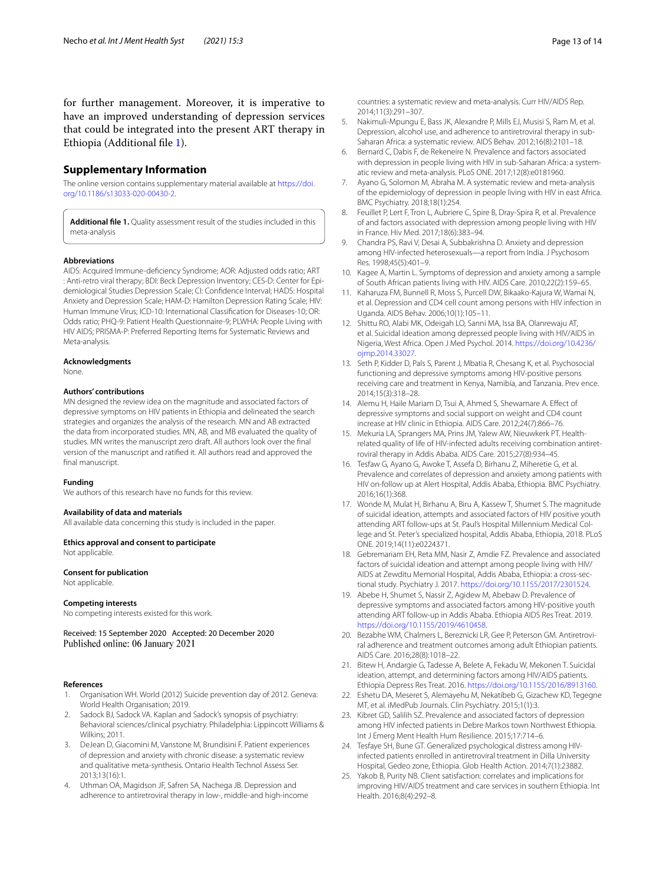for further management. Moreover, it is imperative to have an improved understanding of depression services that could be integrated into the present ART therapy in Ethiopia (Additional fle [1\)](#page-12-25).

## **Supplementary Information**

The online version contains supplementary material available at [https://doi.](https://doi.org/10.1186/s13033-020-00430-2) [org/10.1186/s13033-020-00430-2](https://doi.org/10.1186/s13033-020-00430-2).

<span id="page-12-25"></span>**Additional fle 1.** Quality assessment result of the studies included in this meta-analysis

#### **Abbreviations**

AIDS: Acquired Immune-defciency Syndrome; AOR: Adjusted odds ratio; ART : Anti-retro viral therapy; BDI: Beck Depression Inventory; CES-D: Center for Epidemiological Studies Depression Scale; CI: Confdence Interval; HADS: Hospital Anxiety and Depression Scale; HAM-D: Hamilton Depression Rating Scale; HIV: Human Immune Virus; ICD-10: International Classifcation for Diseases-10; OR: Odds ratio; PHQ-9: Patient Health Questionnaire-9; PLWHA: People Living with HIV AIDS; PRISMA-P: Preferred Reporting Items for Systematic Reviews and Meta-analysis.

#### **Acknowledgments**

None.

## **Authors' contributions**

MN designed the review idea on the magnitude and associated factors of depressive symptoms on HIV patients in Ethiopia and delineated the search strategies and organizes the analysis of the research. MN and AB extracted the data from incorporated studies. MN, AB, and MB evaluated the quality of studies. MN writes the manuscript zero draft. All authors look over the fnal version of the manuscript and ratifed it. All authors read and approved the final manuscript.

#### **Funding**

We authors of this research have no funds for this review.

#### **Availability of data and materials**

All available data concerning this study is included in the paper.

## **Ethics approval and consent to participate**

Not applicable.

#### **Consent for publication**

Not applicable.

#### **Competing interests**

No competing interests existed for this work.

Received: 15 September 2020 Accepted: 20 December 2020

#### **References**

- <span id="page-12-0"></span>1. Organisation WH. World (2012) Suicide prevention day of 2012. Geneva: World Health Organisation; 2019.
- <span id="page-12-1"></span>2. Sadock BJ, Sadock VA. Kaplan and Sadock's synopsis of psychiatry: Behavioral sciences/clinical psychiatry. Philadelphia: Lippincott Williams & Wilkins; 2011.
- <span id="page-12-2"></span>3. DeJean D, Giacomini M, Vanstone M, Brundisini F. Patient experiences of depression and anxiety with chronic disease: a systematic review and qualitative meta-synthesis. Ontario Health Technol Assess Ser. 2013;13(16):1.
- <span id="page-12-3"></span>4. Uthman OA, Magidson JF, Safren SA, Nachega JB. Depression and adherence to antiretroviral therapy in low-, middle-and high-income

countries: a systematic review and meta-analysis. Curr HIV/AIDS Rep. 2014;11(3):291–307.

- <span id="page-12-4"></span>5. Nakimuli-Mpungu E, Bass JK, Alexandre P, Mills EJ, Musisi S, Ram M, et al. Depression, alcohol use, and adherence to antiretroviral therapy in sub-Saharan Africa: a systematic review. AIDS Behav. 2012;16(8):2101–18.
- <span id="page-12-5"></span>6. Bernard C, Dabis F, de Rekeneire N. Prevalence and factors associated with depression in people living with HIV in sub-Saharan Africa: a systematic review and meta-analysis. PLoS ONE. 2017;12(8):e0181960.
- <span id="page-12-6"></span>Ayano G, Solomon M, Abraha M. A systematic review and meta-analysis of the epidemiology of depression in people living with HIV in east Africa. BMC Psychiatry. 2018;18(1):254.
- <span id="page-12-7"></span>8. Feuillet P, Lert F, Tron L, Aubriere C, Spire B, Dray-Spira R, et al. Prevalence of and factors associated with depression among people living with HIV in France. Hiv Med. 2017;18(6):383–94.
- <span id="page-12-8"></span>9. Chandra PS, Ravi V, Desai A, Subbakrishna D. Anxiety and depression among HIV-infected heterosexuals—a report from India. J Psychosom Res. 1998;45(5):401–9.
- <span id="page-12-9"></span>10. Kagee A, Martin L. Symptoms of depression and anxiety among a sample of South African patients living with HIV. AIDS Care. 2010;22(2):159–65.
- <span id="page-12-10"></span>11. Kaharuza FM, Bunnell R, Moss S, Purcell DW, Bikaako-Kajura W, Wamai N, et al. Depression and CD4 cell count among persons with HIV infection in Uganda. AIDS Behav. 2006;10(1):105–11.
- <span id="page-12-11"></span>12. Shittu RO, Alabi MK, Odeigah LO, Sanni MA, Issa BA, Olanrewaju AT, et al. Suicidal ideation among depressed people living with HIV/AIDS in Nigeria, West Africa. Open J Med Psychol. 2014. [https://doi.org/10.4236/](https://doi.org/10.4236/ojmp.2014.33027) [ojmp.2014.33027](https://doi.org/10.4236/ojmp.2014.33027).
- <span id="page-12-12"></span>13. Seth P, Kidder D, Pals S, Parent J, Mbatia R, Chesang K, et al. Psychosocial functioning and depressive symptoms among HIV-positive persons receiving care and treatment in Kenya, Namibia, and Tanzania. Prev ence. 2014;15(3):318–28.
- <span id="page-12-13"></span>14. Alemu H, Haile Mariam D, Tsui A, Ahmed S, Shewamare A. Efect of depressive symptoms and social support on weight and CD4 count increase at HIV clinic in Ethiopia. AIDS Care. 2012;24(7):866–76.
- <span id="page-12-24"></span>15. Mekuria LA, Sprangers MA, Prins JM, Yalew AW, Nieuwkerk PT. Healthrelated quality of life of HIV-infected adults receiving combination antiretroviral therapy in Addis Ababa. AIDS Care. 2015;27(8):934–45.
- <span id="page-12-19"></span>16. Tesfaw G, Ayano G, Awoke T, Assefa D, Birhanu Z, Miheretie G, et al. Prevalence and correlates of depression and anxiety among patients with HIV on-follow up at Alert Hospital, Addis Ababa, Ethiopia. BMC Psychiatry. 2016;16(1):368.
- <span id="page-12-23"></span>17. Wonde M, Mulat H, Birhanu A, Biru A, Kassew T, Shumet S. The magnitude of suicidal ideation, attempts and associated factors of HIV positive youth attending ART follow-ups at St. Paul's Hospital Millennium Medical College and St. Peter's specialized hospital, Addis Ababa, Ethiopia, 2018. PLoS ONE. 2019;14(11):e0224371.
- <span id="page-12-15"></span>18. Gebremariam EH, Reta MM, Nasir Z, Amdie FZ. Prevalence and associated factors of suicidal ideation and attempt among people living with HIV/ AIDS at Zewditu Memorial Hospital, Addis Ababa, Ethiopia: a cross-sectional study. Psychiatry J. 2017. [https://doi.org/10.1155/2017/2301524.](https://doi.org/10.1155/2017/2301524)
- <span id="page-12-14"></span>19. Abebe H, Shumet S, Nassir Z, Agidew M, Abebaw D. Prevalence of depressive symptoms and associated factors among HIV-positive youth attending ART follow-up in Addis Ababa. Ethiopia AIDS Res Treat. 2019. <https://doi.org/10.1155/2019/4610458>.
- <span id="page-12-16"></span>20. Bezabhe WM, Chalmers L, Bereznicki LR, Gee P, Peterson GM. Antiretroviral adherence and treatment outcomes among adult Ethiopian patients. AIDS Care. 2016;28(8):1018–22.
- <span id="page-12-22"></span>21. Bitew H, Andargie G, Tadesse A, Belete A, Fekadu W, Mekonen T. Suicidal ideation, attempt, and determining factors among HIV/AIDS patients. Ethiopia Depress Res Treat. 2016.<https://doi.org/10.1155/2016/8913160>.
- <span id="page-12-20"></span>22. Eshetu DA, Meseret S, Alemayehu M, Nekatibeb G, Gizachew KD, Tegegne MT, et al. iMedPub Journals. Clin Psychiatry. 2015;1(1):3.
- <span id="page-12-17"></span>23. Kibret GD, Salilih SZ. Prevalence and associated factors of depression among HIV infected patients in Debre Markos town Northwest Ethiopia. Int J Emerg Ment Health Hum Resilience. 2015;17:714–6.
- <span id="page-12-18"></span>24. Tesfaye SH, Bune GT. Generalized psychological distress among HIVinfected patients enrolled in antiretroviral treatment in Dilla University Hospital, Gedeo zone, Ethiopia. Glob Health Action. 2014;7(1):23882.
- <span id="page-12-21"></span>25. Yakob B, Purity NB. Client satisfaction: correlates and implications for improving HIV/AIDS treatment and care services in southern Ethiopia. Int Health. 2016;8(4):292–8.